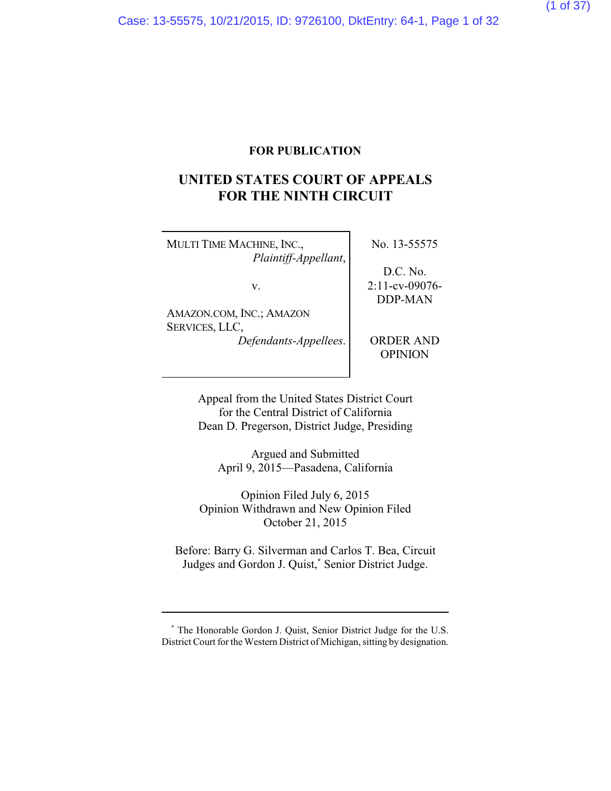### **FOR PUBLICATION**

# **UNITED STATES COURT OF APPEALS FOR THE NINTH CIRCUIT**

MULTI TIME MACHINE, INC., *Plaintiff-Appellant*,

v.

AMAZON.COM, INC.; AMAZON SERVICES, LLC, *Defendants-Appellees*.

ORDER AND OPINION

No. 13-55575

D.C. No. 2:11-cv-09076- DDP-MAN

Appeal from the United States District Court for the Central District of California Dean D. Pregerson, District Judge, Presiding

> Argued and Submitted April 9, 2015—Pasadena, California

Opinion Filed July 6, 2015 Opinion Withdrawn and New Opinion Filed October 21, 2015

Before: Barry G. Silverman and Carlos T. Bea, Circuit Judges and Gordon J. Quist,**\*** Senior District Judge.

**<sup>\*</sup>** The Honorable Gordon J. Quist, Senior District Judge for the U.S. District Court for the Western District of Michigan, sitting by designation.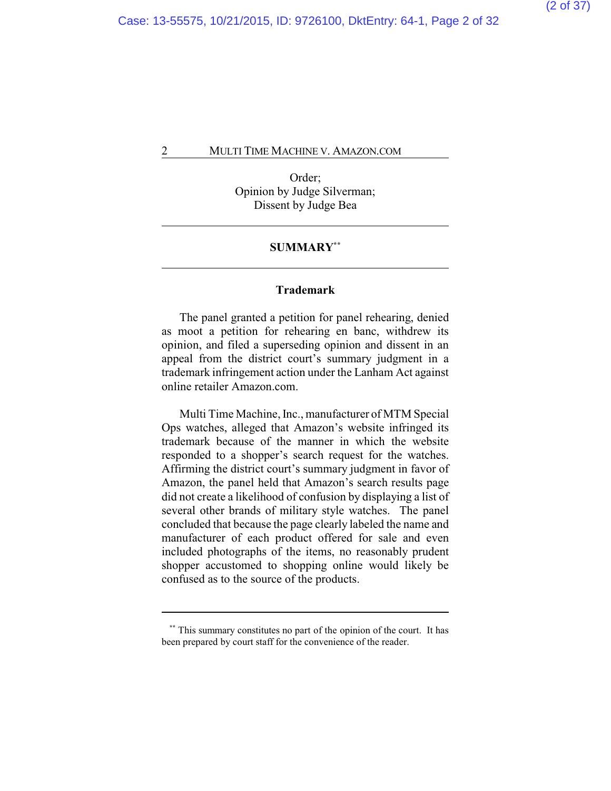Order; Opinion by Judge Silverman; Dissent by Judge Bea

## **SUMMARY\*\***

#### **Trademark**

The panel granted a petition for panel rehearing, denied as moot a petition for rehearing en banc, withdrew its opinion, and filed a superseding opinion and dissent in an appeal from the district court's summary judgment in a trademark infringement action under the Lanham Act against online retailer Amazon.com.

Multi Time Machine, Inc., manufacturer of MTM Special Ops watches, alleged that Amazon's website infringed its trademark because of the manner in which the website responded to a shopper's search request for the watches. Affirming the district court's summary judgment in favor of Amazon, the panel held that Amazon's search results page did not create a likelihood of confusion by displaying a list of several other brands of military style watches. The panel concluded that because the page clearly labeled the name and manufacturer of each product offered for sale and even included photographs of the items, no reasonably prudent shopper accustomed to shopping online would likely be confused as to the source of the products.

**<sup>\*\*</sup>** This summary constitutes no part of the opinion of the court. It has been prepared by court staff for the convenience of the reader.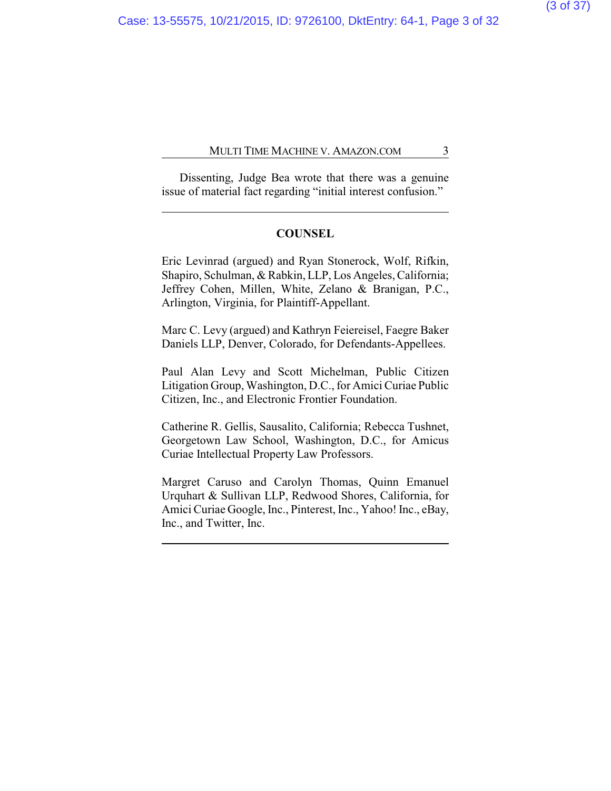Dissenting, Judge Bea wrote that there was a genuine issue of material fact regarding "initial interest confusion."

#### **COUNSEL**

Eric Levinrad (argued) and Ryan Stonerock, Wolf, Rifkin, Shapiro, Schulman, & Rabkin, LLP, Los Angeles, California; Jeffrey Cohen, Millen, White, Zelano & Branigan, P.C., Arlington, Virginia, for Plaintiff-Appellant.

Marc C. Levy (argued) and Kathryn Feiereisel, Faegre Baker Daniels LLP, Denver, Colorado, for Defendants-Appellees.

Paul Alan Levy and Scott Michelman, Public Citizen Litigation Group, Washington, D.C., for Amici Curiae Public Citizen, Inc., and Electronic Frontier Foundation.

Catherine R. Gellis, Sausalito, California; Rebecca Tushnet, Georgetown Law School, Washington, D.C., for Amicus Curiae Intellectual Property Law Professors.

Margret Caruso and Carolyn Thomas, Quinn Emanuel Urquhart & Sullivan LLP, Redwood Shores, California, for Amici Curiae Google, Inc., Pinterest, Inc., Yahoo! Inc., eBay, Inc., and Twitter, Inc.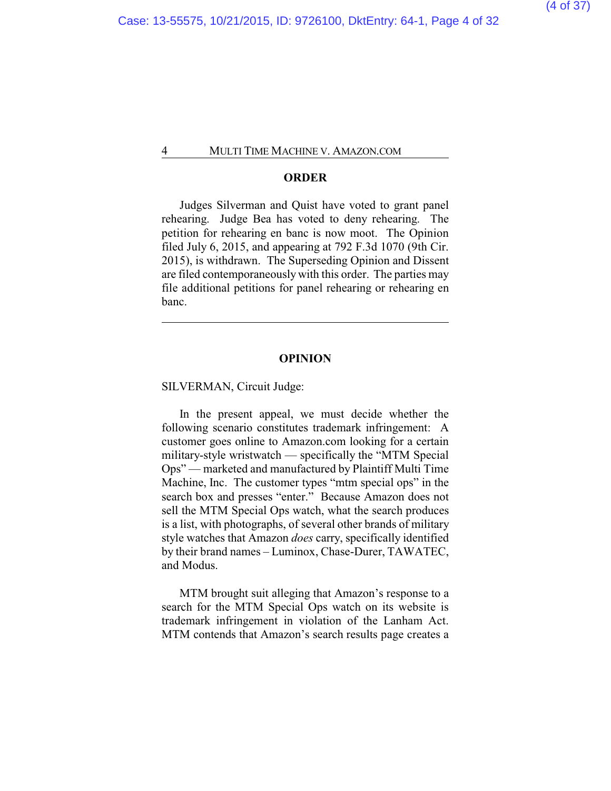#### **ORDER**

Judges Silverman and Quist have voted to grant panel rehearing. Judge Bea has voted to deny rehearing. The petition for rehearing en banc is now moot. The Opinion filed July 6, 2015, and appearing at 792 F.3d 1070 (9th Cir. 2015), is withdrawn. The Superseding Opinion and Dissent are filed contemporaneouslywith this order. The parties may file additional petitions for panel rehearing or rehearing en banc.

#### **OPINION**

SILVERMAN, Circuit Judge:

In the present appeal, we must decide whether the following scenario constitutes trademark infringement: A customer goes online to Amazon.com looking for a certain military-style wristwatch — specifically the "MTM Special Ops" — marketed and manufactured by Plaintiff Multi Time Machine, Inc. The customer types "mtm special ops" in the search box and presses "enter." Because Amazon does not sell the MTM Special Ops watch, what the search produces is a list, with photographs, of several other brands of military style watches that Amazon *does* carry, specifically identified by their brand names – Luminox, Chase-Durer, TAWATEC, and Modus.

MTM brought suit alleging that Amazon's response to a search for the MTM Special Ops watch on its website is trademark infringement in violation of the Lanham Act. MTM contends that Amazon's search results page creates a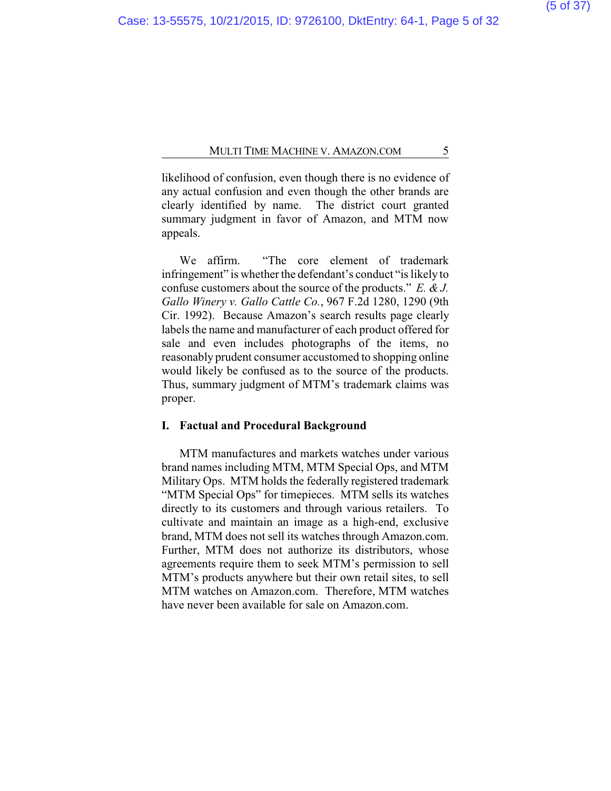likelihood of confusion, even though there is no evidence of any actual confusion and even though the other brands are clearly identified by name. The district court granted summary judgment in favor of Amazon, and MTM now appeals.

We affirm. "The core element of trademark infringement" is whether the defendant's conduct "is likely to confuse customers about the source of the products." *E. & J. Gallo Winery v. Gallo Cattle Co.*, 967 F.2d 1280, 1290 (9th Cir. 1992). Because Amazon's search results page clearly labels the name and manufacturer of each product offered for sale and even includes photographs of the items, no reasonably prudent consumer accustomed to shopping online would likely be confused as to the source of the products. Thus, summary judgment of MTM's trademark claims was proper.

### **I. Factual and Procedural Background**

MTM manufactures and markets watches under various brand names including MTM, MTM Special Ops, and MTM Military Ops. MTM holds the federally registered trademark "MTM Special Ops" for timepieces. MTM sells its watches directly to its customers and through various retailers. To cultivate and maintain an image as a high-end, exclusive brand, MTM does not sell its watches through Amazon.com. Further, MTM does not authorize its distributors, whose agreements require them to seek MTM's permission to sell MTM's products anywhere but their own retail sites, to sell MTM watches on Amazon.com. Therefore, MTM watches have never been available for sale on Amazon.com.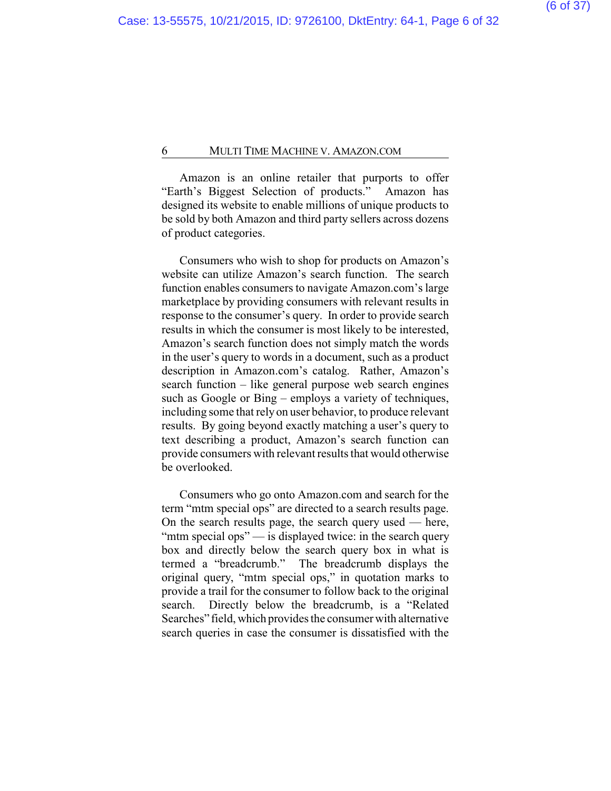Amazon is an online retailer that purports to offer "Earth's Biggest Selection of products." Amazon has designed its website to enable millions of unique products to be sold by both Amazon and third party sellers across dozens of product categories.

Consumers who wish to shop for products on Amazon's website can utilize Amazon's search function. The search function enables consumers to navigate Amazon.com's large marketplace by providing consumers with relevant results in response to the consumer's query. In order to provide search results in which the consumer is most likely to be interested, Amazon's search function does not simply match the words in the user's query to words in a document, such as a product description in Amazon.com's catalog. Rather, Amazon's search function – like general purpose web search engines such as Google or Bing – employs a variety of techniques, including some that rely on user behavior, to produce relevant results. By going beyond exactly matching a user's query to text describing a product, Amazon's search function can provide consumers with relevant results that would otherwise be overlooked.

Consumers who go onto Amazon.com and search for the term "mtm special ops" are directed to a search results page. On the search results page, the search query used — here, "mtm special ops" — is displayed twice: in the search query box and directly below the search query box in what is termed a "breadcrumb." The breadcrumb displays the original query, "mtm special ops," in quotation marks to provide a trail for the consumer to follow back to the original search. Directly below the breadcrumb, is a "Related Searches" field, which provides the consumer with alternative search queries in case the consumer is dissatisfied with the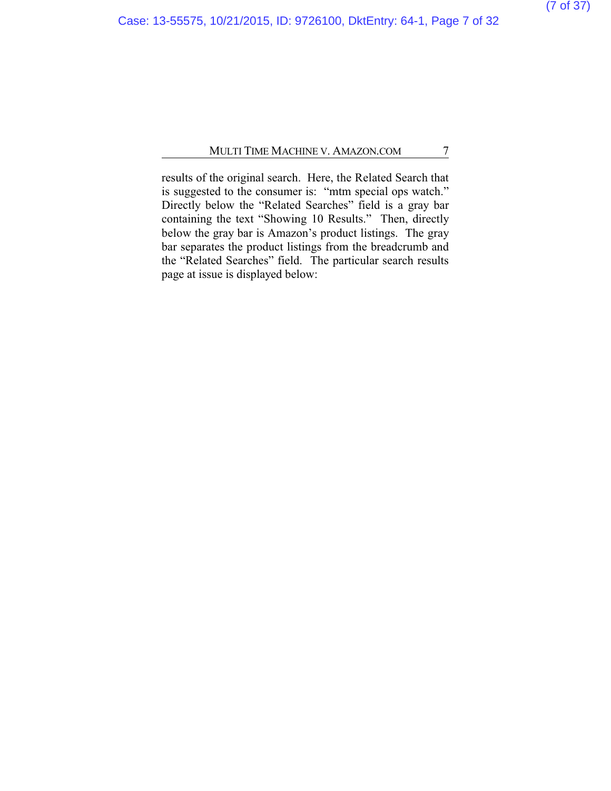results of the original search. Here, the Related Search that is suggested to the consumer is: "mtm special ops watch." Directly below the "Related Searches" field is a gray bar containing the text "Showing 10 Results." Then, directly below the gray bar is Amazon's product listings. The gray bar separates the product listings from the breadcrumb and the "Related Searches" field. The particular search results page at issue is displayed below: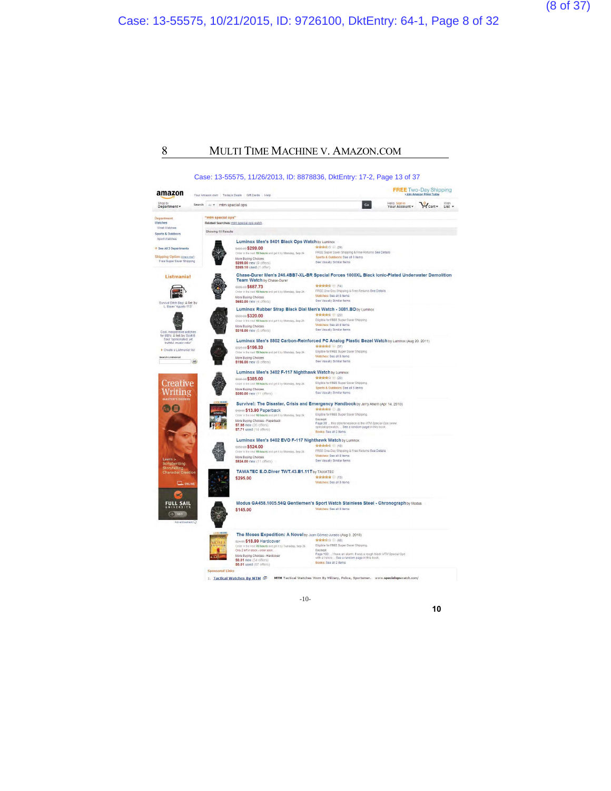Case: 13-55575, 10/21/2015, ID: 9726100, DktEntry: 64-1, Page 8 of 32

#### 8 MULTI TIME MACHINE V. AMAZON.COM



-10-

**10**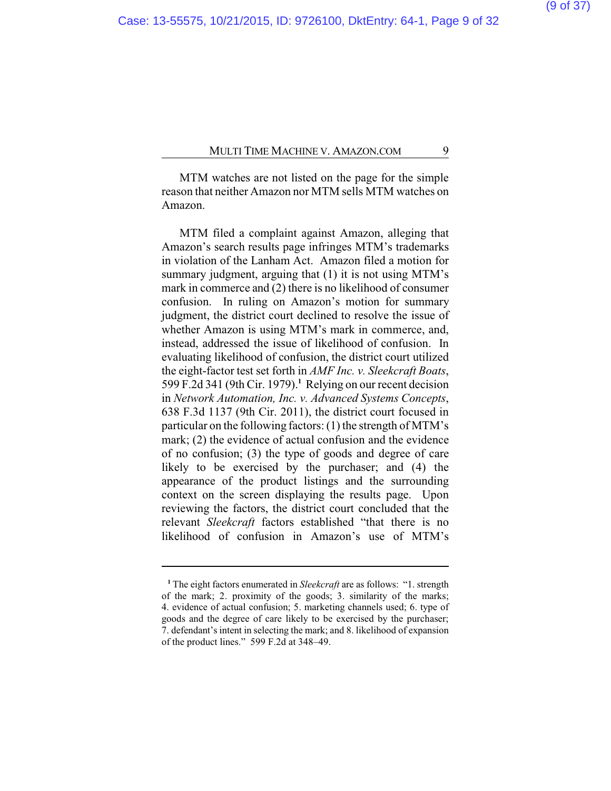MTM watches are not listed on the page for the simple reason that neither Amazon nor MTM sells MTM watches on Amazon.

MTM filed a complaint against Amazon, alleging that Amazon's search results page infringes MTM's trademarks in violation of the Lanham Act. Amazon filed a motion for summary judgment, arguing that (1) it is not using MTM's mark in commerce and (2) there is no likelihood of consumer confusion. In ruling on Amazon's motion for summary judgment, the district court declined to resolve the issue of whether Amazon is using MTM's mark in commerce, and, instead, addressed the issue of likelihood of confusion. In evaluating likelihood of confusion, the district court utilized the eight-factor test set forth in *AMF Inc. v. Sleekcraft Boats*, 599 F.2d 341 (9th Cir. 1979).**<sup>1</sup>** Relying on our recent decision in *Network Automation, Inc. v. Advanced Systems Concepts*, 638 F.3d 1137 (9th Cir. 2011), the district court focused in particular on the following factors: (1) the strength of MTM's mark; (2) the evidence of actual confusion and the evidence of no confusion; (3) the type of goods and degree of care likely to be exercised by the purchaser; and (4) the appearance of the product listings and the surrounding context on the screen displaying the results page. Upon reviewing the factors, the district court concluded that the relevant *Sleekcraft* factors established "that there is no likelihood of confusion in Amazon's use of MTM's

**<sup>1</sup>** The eight factors enumerated in *Sleekcraft* are as follows: "1. strength of the mark; 2. proximity of the goods; 3. similarity of the marks; 4. evidence of actual confusion; 5. marketing channels used; 6. type of goods and the degree of care likely to be exercised by the purchaser; 7. defendant's intent in selecting the mark; and 8. likelihood of expansion of the product lines." 599 F.2d at 348–49.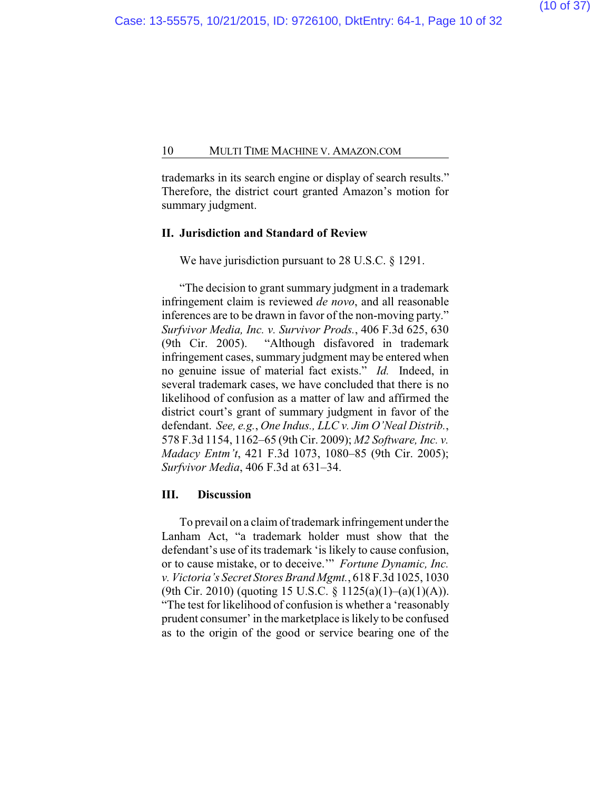trademarks in its search engine or display of search results." Therefore, the district court granted Amazon's motion for summary judgment.

#### **II. Jurisdiction and Standard of Review**

We have jurisdiction pursuant to 28 U.S.C. § 1291.

"The decision to grant summary judgment in a trademark infringement claim is reviewed *de novo*, and all reasonable inferences are to be drawn in favor of the non-moving party." *Surfvivor Media, Inc. v. Survivor Prods.*, 406 F.3d 625, 630 (9th Cir. 2005). "Although disfavored in trademark infringement cases, summary judgment may be entered when no genuine issue of material fact exists." *Id.* Indeed, in several trademark cases, we have concluded that there is no likelihood of confusion as a matter of law and affirmed the district court's grant of summary judgment in favor of the defendant. *See, e.g.*, *One Indus., LLC v. Jim O'Neal Distrib.*, 578 F.3d 1154, 1162–65 (9th Cir. 2009); *M2 Software, Inc. v. Madacy Entm't*, 421 F.3d 1073, 1080–85 (9th Cir. 2005); *Surfvivor Media*, 406 F.3d at 631–34.

### **III. Discussion**

To prevail on a claim of trademark infringement under the Lanham Act, "a trademark holder must show that the defendant's use of its trademark 'is likely to cause confusion, or to cause mistake, or to deceive.'" *Fortune Dynamic, Inc. v. Victoria's Secret Stores Brand Mgmt.*, 618 F.3d 1025, 1030 (9th Cir. 2010) (quoting 15 U.S.C. § 1125(a)(1)–(a)(1)(A)). "The test for likelihood of confusion is whether a 'reasonably prudent consumer' in the marketplace is likely to be confused as to the origin of the good or service bearing one of the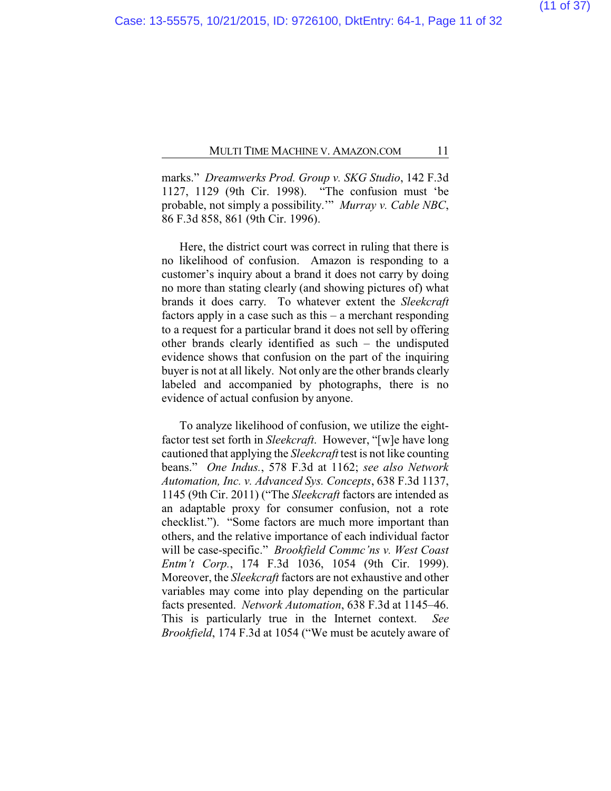marks." *Dreamwerks Prod. Group v. SKG Studio*, 142 F.3d 1127, 1129 (9th Cir. 1998). "The confusion must 'be probable, not simply a possibility.'" *Murray v. Cable NBC*, 86 F.3d 858, 861 (9th Cir. 1996).

Here, the district court was correct in ruling that there is no likelihood of confusion. Amazon is responding to a customer's inquiry about a brand it does not carry by doing no more than stating clearly (and showing pictures of) what brands it does carry. To whatever extent the *Sleekcraft* factors apply in a case such as this – a merchant responding to a request for a particular brand it does not sell by offering other brands clearly identified as such – the undisputed evidence shows that confusion on the part of the inquiring buyer is not at all likely. Not only are the other brands clearly labeled and accompanied by photographs, there is no evidence of actual confusion by anyone.

To analyze likelihood of confusion, we utilize the eightfactor test set forth in *Sleekcraft*. However, "[w]e have long cautioned that applying the *Sleekcraft* test is not like counting beans." *One Indus.*, 578 F.3d at 1162; *see also Network Automation, Inc. v. Advanced Sys. Concepts*, 638 F.3d 1137, 1145 (9th Cir. 2011) ("The *Sleekcraft* factors are intended as an adaptable proxy for consumer confusion, not a rote checklist."). "Some factors are much more important than others, and the relative importance of each individual factor will be case-specific." *Brookfield Commc'ns v. West Coast Entm't Corp.*, 174 F.3d 1036, 1054 (9th Cir. 1999). Moreover, the *Sleekcraft* factors are not exhaustive and other variables may come into play depending on the particular facts presented. *Network Automation*, 638 F.3d at 1145–46. This is particularly true in the Internet context. *See Brookfield*, 174 F.3d at 1054 ("We must be acutely aware of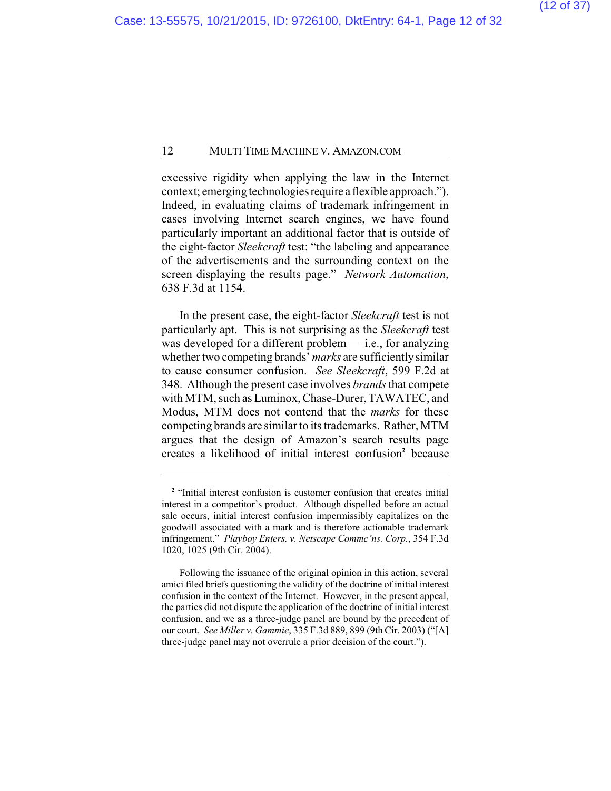excessive rigidity when applying the law in the Internet context; emerging technologies require a flexible approach."). Indeed, in evaluating claims of trademark infringement in cases involving Internet search engines, we have found particularly important an additional factor that is outside of the eight-factor *Sleekcraft* test: "the labeling and appearance of the advertisements and the surrounding context on the screen displaying the results page." *Network Automation*, 638 F.3d at 1154.

In the present case, the eight-factor *Sleekcraft* test is not particularly apt. This is not surprising as the *Sleekcraft* test was developed for a different problem — i.e., for analyzing whether two competing brands' *marks* are sufficientlysimilar to cause consumer confusion. *See Sleekcraft*, 599 F.2d at 348. Although the present case involves *brands*that compete with MTM, such as Luminox, Chase-Durer, TAWATEC, and Modus, MTM does not contend that the *marks* for these competing brands are similar to its trademarks. Rather, MTM argues that the design of Amazon's search results page creates a likelihood of initial interest confusion**<sup>2</sup>** because

<sup>&</sup>lt;sup>2</sup> "Initial interest confusion is customer confusion that creates initial interest in a competitor's product. Although dispelled before an actual sale occurs, initial interest confusion impermissibly capitalizes on the goodwill associated with a mark and is therefore actionable trademark infringement." *Playboy Enters. v. Netscape Commc'ns. Corp.*, 354 F.3d 1020, 1025 (9th Cir. 2004).

Following the issuance of the original opinion in this action, several amici filed briefs questioning the validity of the doctrine of initial interest confusion in the context of the Internet. However, in the present appeal, the parties did not dispute the application of the doctrine of initial interest confusion, and we as a three-judge panel are bound by the precedent of our court. *See Miller v. Gammie*, 335 F.3d 889, 899 (9th Cir. 2003) ("[A] three-judge panel may not overrule a prior decision of the court.").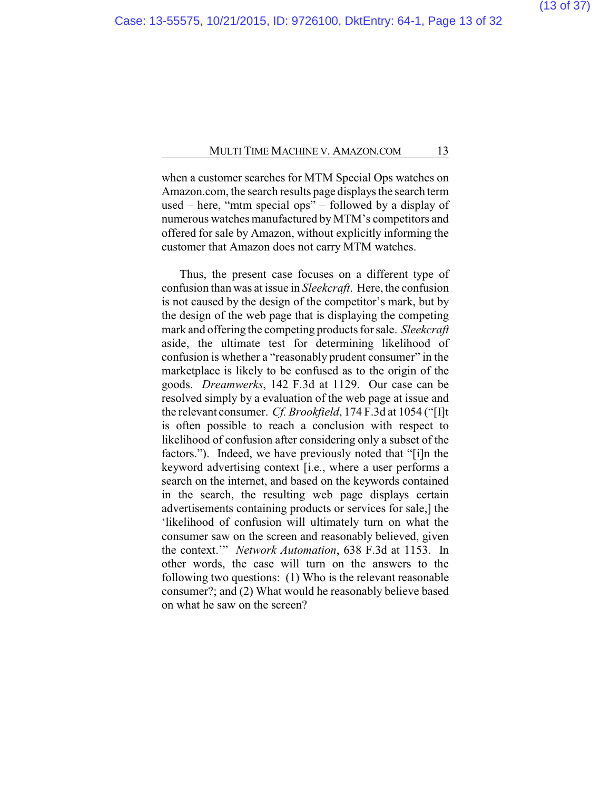when a customer searches for MTM Special Ops watches on Amazon.com, the search results page displays the search term used – here, "mtm special ops" – followed by a display of numerous watches manufactured by MTM's competitors and offered for sale by Amazon, without explicitly informing the customer that Amazon does not carry MTM watches.

Thus, the present case focuses on a different type of confusion than was at issue in *Sleekcraft*. Here, the confusion is not caused by the design of the competitor's mark, but by the design of the web page that is displaying the competing mark and offering the competing products for sale. *Sleekcraft* aside, the ultimate test for determining likelihood of confusion is whether a "reasonably prudent consumer" in the marketplace is likely to be confused as to the origin of the goods. *Dreamwerks*, 142 F.3d at 1129. Our case can be resolved simply by a evaluation of the web page at issue and the relevant consumer. *Cf. Brookfield*, 174 F.3d at 1054 ("[I]t is often possible to reach a conclusion with respect to likelihood of confusion after considering only a subset of the factors."). Indeed, we have previously noted that "[i]n the keyword advertising context [i.e., where a user performs a search on the internet, and based on the keywords contained in the search, the resulting web page displays certain advertisements containing products or services for sale,] the 'likelihood of confusion will ultimately turn on what the consumer saw on the screen and reasonably believed, given the context.'" *Network Automation*, 638 F.3d at 1153. In other words, the case will turn on the answers to the following two questions: (1) Who is the relevant reasonable consumer?; and (2) What would he reasonably believe based on what he saw on the screen?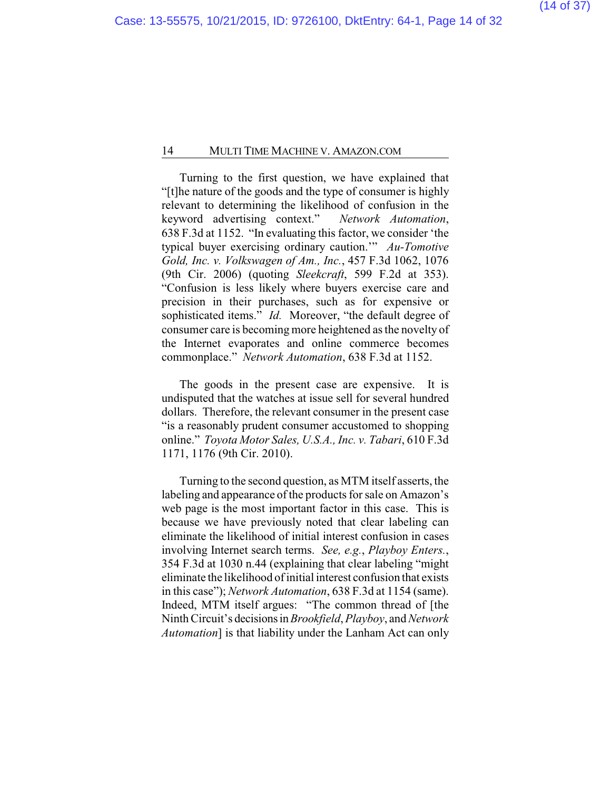Turning to the first question, we have explained that "[t]he nature of the goods and the type of consumer is highly relevant to determining the likelihood of confusion in the keyword advertising context." *Network Automation*, 638 F.3d at 1152. "In evaluating this factor, we consider 'the typical buyer exercising ordinary caution.'" *Au-Tomotive Gold, Inc. v. Volkswagen of Am., Inc.*, 457 F.3d 1062, 1076 (9th Cir. 2006) (quoting *Sleekcraft*, 599 F.2d at 353). "Confusion is less likely where buyers exercise care and precision in their purchases, such as for expensive or sophisticated items." *Id.* Moreover, "the default degree of consumer care is becoming more heightened as the novelty of the Internet evaporates and online commerce becomes commonplace." *Network Automation*, 638 F.3d at 1152.

The goods in the present case are expensive. It is undisputed that the watches at issue sell for several hundred dollars. Therefore, the relevant consumer in the present case "is a reasonably prudent consumer accustomed to shopping online." *Toyota Motor Sales, U.S.A., Inc. v. Tabari*, 610 F.3d 1171, 1176 (9th Cir. 2010).

Turning to the second question, as MTM itself asserts, the labeling and appearance of the products for sale on Amazon's web page is the most important factor in this case. This is because we have previously noted that clear labeling can eliminate the likelihood of initial interest confusion in cases involving Internet search terms. *See, e.g.*, *Playboy Enters.*, 354 F.3d at 1030 n.44 (explaining that clear labeling "might eliminate the likelihood of initial interest confusion that exists in this case"); *Network Automation*, 638 F.3d at 1154 (same). Indeed, MTM itself argues: "The common thread of [the Ninth Circuit's decisionsin*Brookfield*, *Playboy*, and *Network Automation*] is that liability under the Lanham Act can only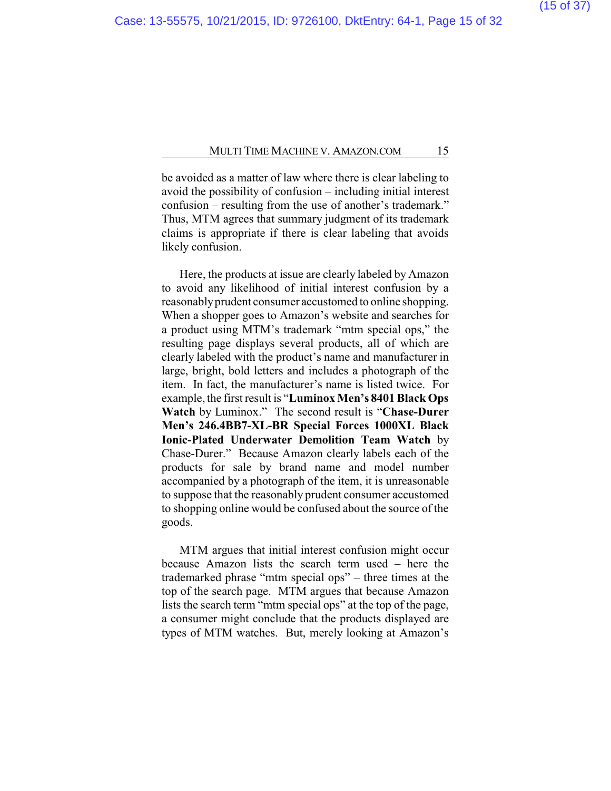be avoided as a matter of law where there is clear labeling to avoid the possibility of confusion – including initial interest confusion – resulting from the use of another's trademark." Thus, MTM agrees that summary judgment of its trademark claims is appropriate if there is clear labeling that avoids likely confusion.

Here, the products at issue are clearly labeled by Amazon to avoid any likelihood of initial interest confusion by a reasonably prudent consumer accustomed to online shopping. When a shopper goes to Amazon's website and searches for a product using MTM's trademark "mtm special ops," the resulting page displays several products, all of which are clearly labeled with the product's name and manufacturer in large, bright, bold letters and includes a photograph of the item. In fact, the manufacturer's name is listed twice. For example, the first result is "**Luminox Men's 8401 Black Ops Watch** by Luminox." The second result is "**Chase-Durer Men's 246.4BB7-XL-BR Special Forces 1000XL Black Ionic-Plated Underwater Demolition Team Watch** by Chase-Durer." Because Amazon clearly labels each of the products for sale by brand name and model number accompanied by a photograph of the item, it is unreasonable to suppose that the reasonably prudent consumer accustomed to shopping online would be confused about the source of the goods.

MTM argues that initial interest confusion might occur because Amazon lists the search term used – here the trademarked phrase "mtm special ops" – three times at the top of the search page. MTM argues that because Amazon lists the search term "mtm special ops" at the top of the page, a consumer might conclude that the products displayed are types of MTM watches. But, merely looking at Amazon's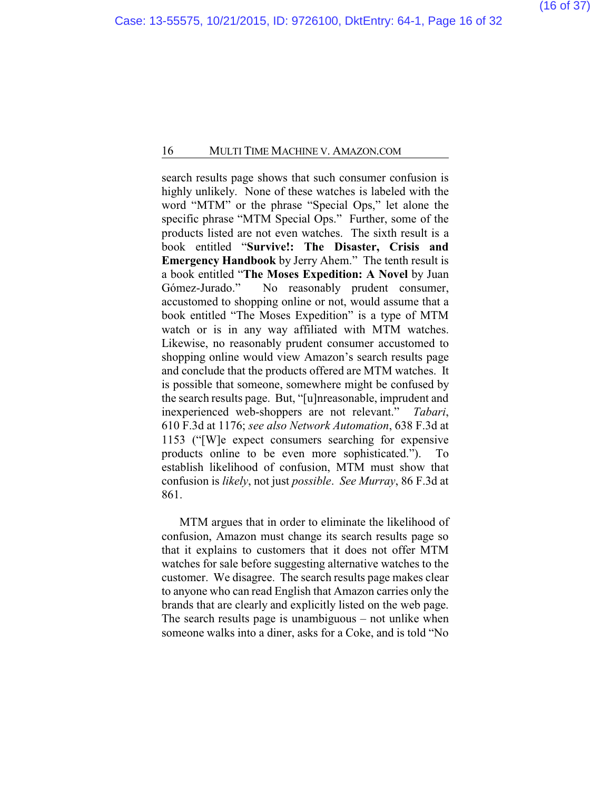search results page shows that such consumer confusion is highly unlikely. None of these watches is labeled with the word "MTM" or the phrase "Special Ops," let alone the specific phrase "MTM Special Ops." Further, some of the products listed are not even watches. The sixth result is a book entitled "**Survive!: The Disaster, Crisis and Emergency Handbook** by Jerry Ahem." The tenth result is a book entitled "**The Moses Expedition: A Novel** by Juan Gómez-Jurado." No reasonably prudent consumer, accustomed to shopping online or not, would assume that a book entitled "The Moses Expedition" is a type of MTM watch or is in any way affiliated with MTM watches. Likewise, no reasonably prudent consumer accustomed to shopping online would view Amazon's search results page and conclude that the products offered are MTM watches. It is possible that someone, somewhere might be confused by the search results page. But, "[u]nreasonable, imprudent and inexperienced web-shoppers are not relevant." *Tabari*, 610 F.3d at 1176; *see also Network Automation*, 638 F.3d at 1153 ("[W]e expect consumers searching for expensive products online to be even more sophisticated."). To establish likelihood of confusion, MTM must show that confusion is *likely*, not just *possible*. *See Murray*, 86 F.3d at 861.

MTM argues that in order to eliminate the likelihood of confusion, Amazon must change its search results page so that it explains to customers that it does not offer MTM watches for sale before suggesting alternative watches to the customer. We disagree. The search results page makes clear to anyone who can read English that Amazon carries only the brands that are clearly and explicitly listed on the web page. The search results page is unambiguous – not unlike when someone walks into a diner, asks for a Coke, and is told "No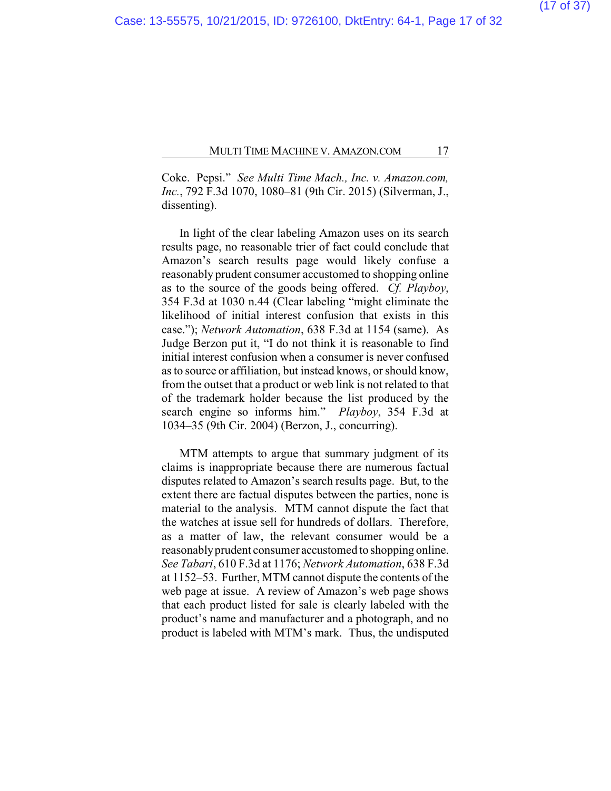Coke. Pepsi." *See Multi Time Mach., Inc. v. Amazon.com, Inc.*, 792 F.3d 1070, 1080–81 (9th Cir. 2015) (Silverman, J., dissenting).

In light of the clear labeling Amazon uses on its search results page, no reasonable trier of fact could conclude that Amazon's search results page would likely confuse a reasonably prudent consumer accustomed to shopping online as to the source of the goods being offered. *Cf. Playboy*, 354 F.3d at 1030 n.44 (Clear labeling "might eliminate the likelihood of initial interest confusion that exists in this case."); *Network Automation*, 638 F.3d at 1154 (same). As Judge Berzon put it, "I do not think it is reasonable to find initial interest confusion when a consumer is never confused as to source or affiliation, but instead knows, or should know, from the outset that a product or web link is not related to that of the trademark holder because the list produced by the search engine so informs him." *Playboy*, 354 F.3d at 1034–35 (9th Cir. 2004) (Berzon, J., concurring).

MTM attempts to argue that summary judgment of its claims is inappropriate because there are numerous factual disputes related to Amazon's search results page. But, to the extent there are factual disputes between the parties, none is material to the analysis. MTM cannot dispute the fact that the watches at issue sell for hundreds of dollars. Therefore, as a matter of law, the relevant consumer would be a reasonablyprudent consumer accustomed to shopping online. *See Tabari*, 610 F.3d at 1176; *Network Automation*, 638 F.3d at 1152–53. Further, MTM cannot dispute the contents of the web page at issue. A review of Amazon's web page shows that each product listed for sale is clearly labeled with the product's name and manufacturer and a photograph, and no product is labeled with MTM's mark. Thus, the undisputed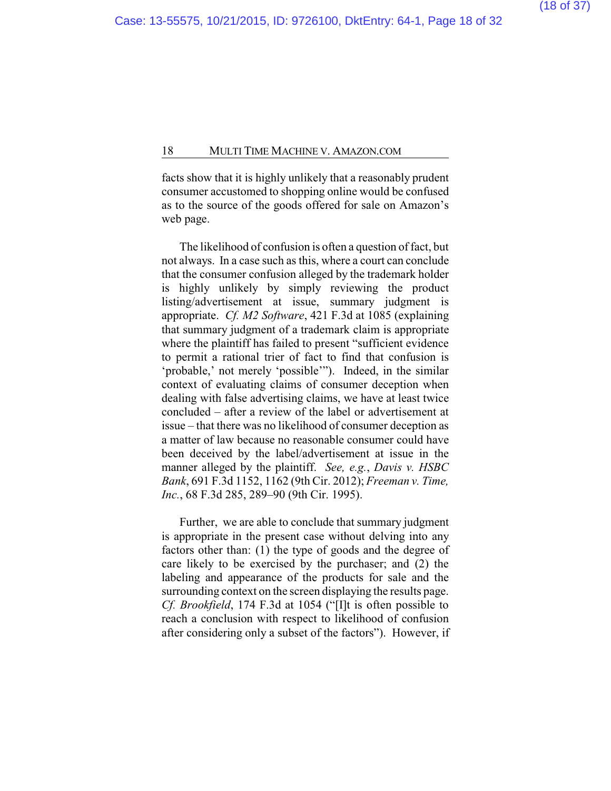facts show that it is highly unlikely that a reasonably prudent consumer accustomed to shopping online would be confused as to the source of the goods offered for sale on Amazon's web page.

The likelihood of confusion is often a question of fact, but not always. In a case such as this, where a court can conclude that the consumer confusion alleged by the trademark holder is highly unlikely by simply reviewing the product listing/advertisement at issue, summary judgment is appropriate. *Cf. M2 Software*, 421 F.3d at 1085 (explaining that summary judgment of a trademark claim is appropriate where the plaintiff has failed to present "sufficient evidence to permit a rational trier of fact to find that confusion is 'probable,' not merely 'possible'"). Indeed, in the similar context of evaluating claims of consumer deception when dealing with false advertising claims, we have at least twice concluded – after a review of the label or advertisement at issue – that there was no likelihood of consumer deception as a matter of law because no reasonable consumer could have been deceived by the label/advertisement at issue in the manner alleged by the plaintiff. *See, e.g.*, *Davis v. HSBC Bank*, 691 F.3d 1152, 1162 (9th Cir. 2012); *Freeman v. Time, Inc.*, 68 F.3d 285, 289–90 (9th Cir. 1995).

Further, we are able to conclude that summary judgment is appropriate in the present case without delving into any factors other than: (1) the type of goods and the degree of care likely to be exercised by the purchaser; and (2) the labeling and appearance of the products for sale and the surrounding context on the screen displaying the results page. *Cf. Brookfield*, 174 F.3d at 1054 ("[I]t is often possible to reach a conclusion with respect to likelihood of confusion after considering only a subset of the factors"). However, if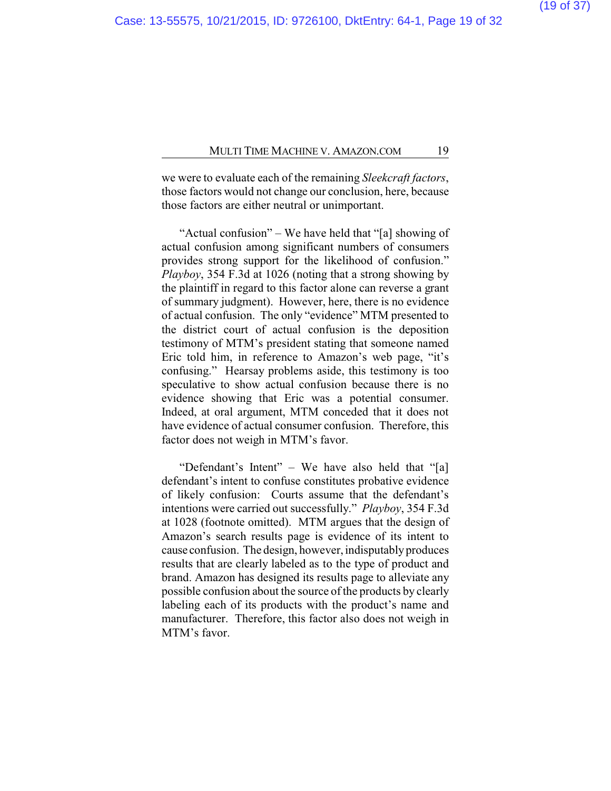we were to evaluate each of the remaining *Sleekcraft factors*, those factors would not change our conclusion, here, because those factors are either neutral or unimportant.

"Actual confusion" – We have held that "[a] showing of actual confusion among significant numbers of consumers provides strong support for the likelihood of confusion." *Playboy*, 354 F.3d at 1026 (noting that a strong showing by the plaintiff in regard to this factor alone can reverse a grant of summary judgment). However, here, there is no evidence of actual confusion. The only "evidence" MTM presented to the district court of actual confusion is the deposition testimony of MTM's president stating that someone named Eric told him, in reference to Amazon's web page, "it's confusing." Hearsay problems aside, this testimony is too speculative to show actual confusion because there is no evidence showing that Eric was a potential consumer. Indeed, at oral argument, MTM conceded that it does not have evidence of actual consumer confusion. Therefore, this factor does not weigh in MTM's favor.

"Defendant's Intent" – We have also held that "[a] defendant's intent to confuse constitutes probative evidence of likely confusion: Courts assume that the defendant's intentions were carried out successfully." *Playboy*, 354 F.3d at 1028 (footnote omitted). MTM argues that the design of Amazon's search results page is evidence of its intent to cause confusion. The design, however, indisputablyproduces results that are clearly labeled as to the type of product and brand. Amazon has designed its results page to alleviate any possible confusion about the source of the products by clearly labeling each of its products with the product's name and manufacturer. Therefore, this factor also does not weigh in MTM's favor.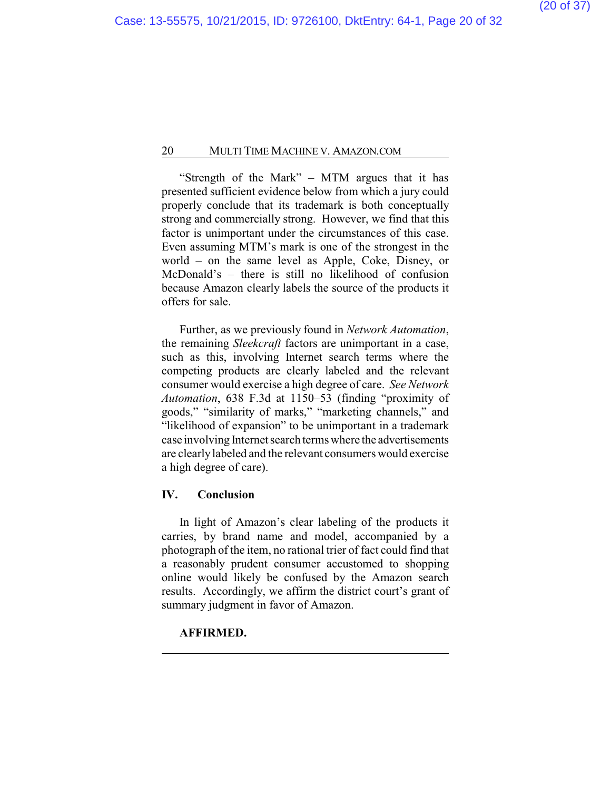"Strength of the Mark" – MTM argues that it has presented sufficient evidence below from which a jury could properly conclude that its trademark is both conceptually strong and commercially strong. However, we find that this factor is unimportant under the circumstances of this case. Even assuming MTM's mark is one of the strongest in the world – on the same level as Apple, Coke, Disney, or McDonald's – there is still no likelihood of confusion because Amazon clearly labels the source of the products it offers for sale.

Further, as we previously found in *Network Automation*, the remaining *Sleekcraft* factors are unimportant in a case, such as this, involving Internet search terms where the competing products are clearly labeled and the relevant consumer would exercise a high degree of care. *See Network Automation*, 638 F.3d at 1150–53 (finding "proximity of goods," "similarity of marks," "marketing channels," and "likelihood of expansion" to be unimportant in a trademark case involving Internet search terms where the advertisements are clearly labeled and the relevant consumers would exercise a high degree of care).

## **IV. Conclusion**

In light of Amazon's clear labeling of the products it carries, by brand name and model, accompanied by a photograph of the item, no rational trier of fact could find that a reasonably prudent consumer accustomed to shopping online would likely be confused by the Amazon search results. Accordingly, we affirm the district court's grant of summary judgment in favor of Amazon.

### **AFFIRMED.**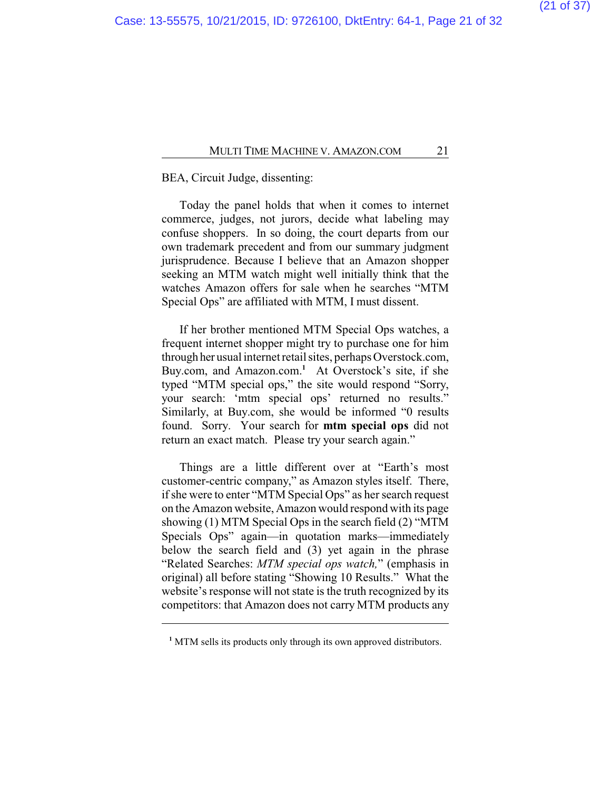## BEA, Circuit Judge, dissenting:

Today the panel holds that when it comes to internet commerce, judges, not jurors, decide what labeling may confuse shoppers. In so doing, the court departs from our own trademark precedent and from our summary judgment jurisprudence. Because I believe that an Amazon shopper seeking an MTM watch might well initially think that the watches Amazon offers for sale when he searches "MTM Special Ops" are affiliated with MTM, I must dissent.

If her brother mentioned MTM Special Ops watches, a frequent internet shopper might try to purchase one for him through her usual internet retail sites, perhaps Overstock.com, Buy.com, and Amazon.com.**<sup>1</sup>** At Overstock's site, if she typed "MTM special ops," the site would respond "Sorry, your search: 'mtm special ops' returned no results." Similarly, at Buy.com, she would be informed "0 results found. Sorry. Your search for **mtm special ops** did not return an exact match. Please try your search again."

Things are a little different over at "Earth's most customer-centric company," as Amazon styles itself. There, if she were to enter "MTM Special Ops" as her search request on the Amazon website, Amazon would respond with its page showing (1) MTM Special Ops in the search field (2) "MTM Specials Ops" again—in quotation marks—immediately below the search field and (3) yet again in the phrase "Related Searches: *MTM special ops watch,*" (emphasis in original) all before stating "Showing 10 Results." What the website's response will not state is the truth recognized by its competitors: that Amazon does not carry MTM products any

<sup>&</sup>lt;sup>1</sup> MTM sells its products only through its own approved distributors.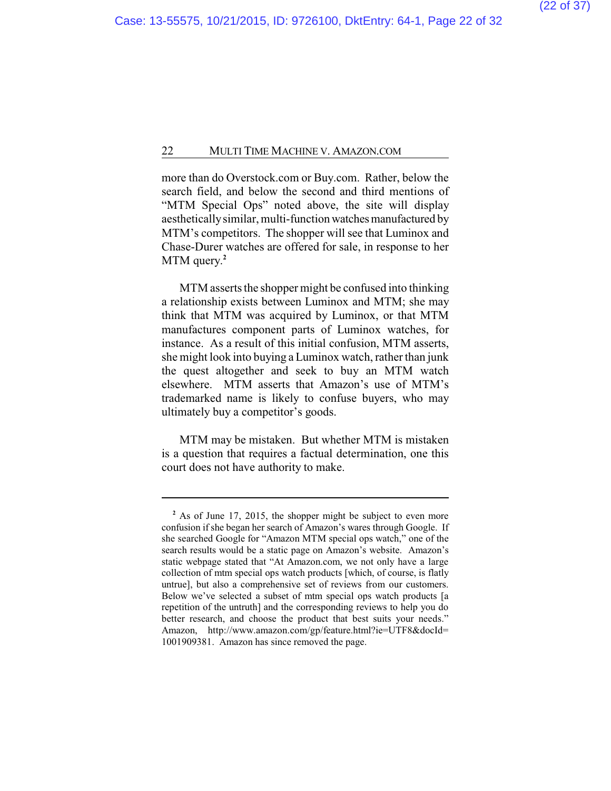more than do Overstock.com or Buy.com. Rather, below the search field, and below the second and third mentions of "MTM Special Ops" noted above, the site will display aesthetically similar, multi-function watches manufactured by MTM's competitors. The shopper will see that Luminox and Chase-Durer watches are offered for sale, in response to her MTM query. **2**

MTM asserts the shopper might be confused into thinking a relationship exists between Luminox and MTM; she may think that MTM was acquired by Luminox, or that MTM manufactures component parts of Luminox watches, for instance. As a result of this initial confusion, MTM asserts, she might look into buying a Luminox watch, rather than junk the quest altogether and seek to buy an MTM watch elsewhere. MTM asserts that Amazon's use of MTM's trademarked name is likely to confuse buyers, who may ultimately buy a competitor's goods.

MTM may be mistaken. But whether MTM is mistaken is a question that requires a factual determination, one this court does not have authority to make.

**<sup>2</sup>** As of June 17, 2015, the shopper might be subject to even more confusion if she began her search of Amazon's wares through Google. If she searched Google for "Amazon MTM special ops watch," one of the search results would be a static page on Amazon's website. Amazon's static webpage stated that "At Amazon.com, we not only have a large collection of mtm special ops watch products [which, of course, is flatly untrue], but also a comprehensive set of reviews from our customers. Below we've selected a subset of mtm special ops watch products [a repetition of the untruth] and the corresponding reviews to help you do better research, and choose the product that best suits your needs." Amazon, http://www.amazon.com/gp/feature.html?ie=UTF8&docId= 1001909381. Amazon has since removed the page.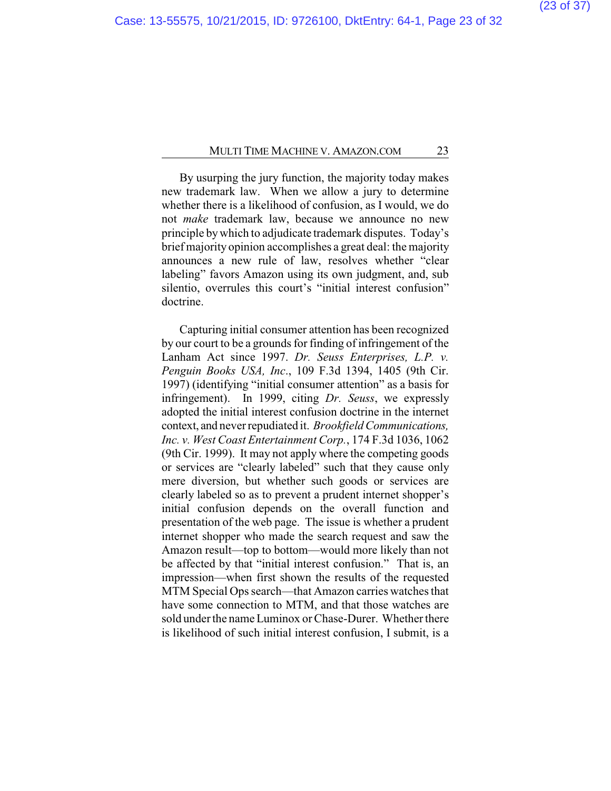By usurping the jury function, the majority today makes new trademark law. When we allow a jury to determine whether there is a likelihood of confusion, as I would, we do not *make* trademark law, because we announce no new principle bywhich to adjudicate trademark disputes. Today's brief majority opinion accomplishes a great deal: the majority announces a new rule of law, resolves whether "clear labeling" favors Amazon using its own judgment, and, sub silentio, overrules this court's "initial interest confusion" doctrine.

Capturing initial consumer attention has been recognized by our court to be a grounds for finding of infringement of the Lanham Act since 1997. *Dr. Seuss Enterprises, L.P. v. Penguin Books USA, Inc*., 109 F.3d 1394, 1405 (9th Cir. 1997) (identifying "initial consumer attention" as a basis for infringement). In 1999, citing *Dr. Seuss*, we expressly adopted the initial interest confusion doctrine in the internet context, and never repudiated it. *Brookfield Communications, Inc. v. West Coast Entertainment Corp.*, 174 F.3d 1036, 1062 (9th Cir. 1999). It may not apply where the competing goods or services are "clearly labeled" such that they cause only mere diversion, but whether such goods or services are clearly labeled so as to prevent a prudent internet shopper's initial confusion depends on the overall function and presentation of the web page. The issue is whether a prudent internet shopper who made the search request and saw the Amazon result—top to bottom—would more likely than not be affected by that "initial interest confusion." That is, an impression—when first shown the results of the requested MTM Special Ops search—that Amazon carries watches that have some connection to MTM, and that those watches are sold under the name Luminox or Chase-Durer. Whether there is likelihood of such initial interest confusion, I submit, is a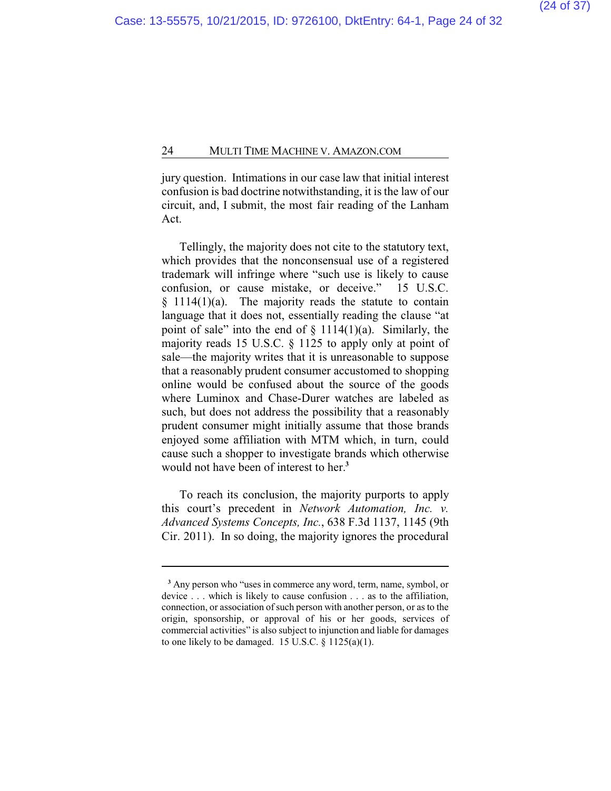jury question. Intimations in our case law that initial interest confusion is bad doctrine notwithstanding, it is the law of our circuit, and, I submit, the most fair reading of the Lanham Act.

Tellingly, the majority does not cite to the statutory text, which provides that the nonconsensual use of a registered trademark will infringe where "such use is likely to cause confusion, or cause mistake, or deceive." 15 U.S.C.  $§$  1114(1)(a). The majority reads the statute to contain language that it does not, essentially reading the clause "at point of sale" into the end of  $\S$  1114(1)(a). Similarly, the majority reads 15 U.S.C. § 1125 to apply only at point of sale—the majority writes that it is unreasonable to suppose that a reasonably prudent consumer accustomed to shopping online would be confused about the source of the goods where Luminox and Chase-Durer watches are labeled as such, but does not address the possibility that a reasonably prudent consumer might initially assume that those brands enjoyed some affiliation with MTM which, in turn, could cause such a shopper to investigate brands which otherwise would not have been of interest to her.**<sup>3</sup>**

To reach its conclusion, the majority purports to apply this court's precedent in *Network Automation, Inc. v. Advanced Systems Concepts, Inc.*, 638 F.3d 1137, 1145 (9th Cir. 2011). In so doing, the majority ignores the procedural

**<sup>3</sup>** Any person who "uses in commerce any word, term, name, symbol, or device . . . which is likely to cause confusion . . . as to the affiliation, connection, or association of such person with another person, or as to the origin, sponsorship, or approval of his or her goods, services of commercial activities" is also subject to injunction and liable for damages to one likely to be damaged. 15 U.S.C.  $\S$  1125(a)(1).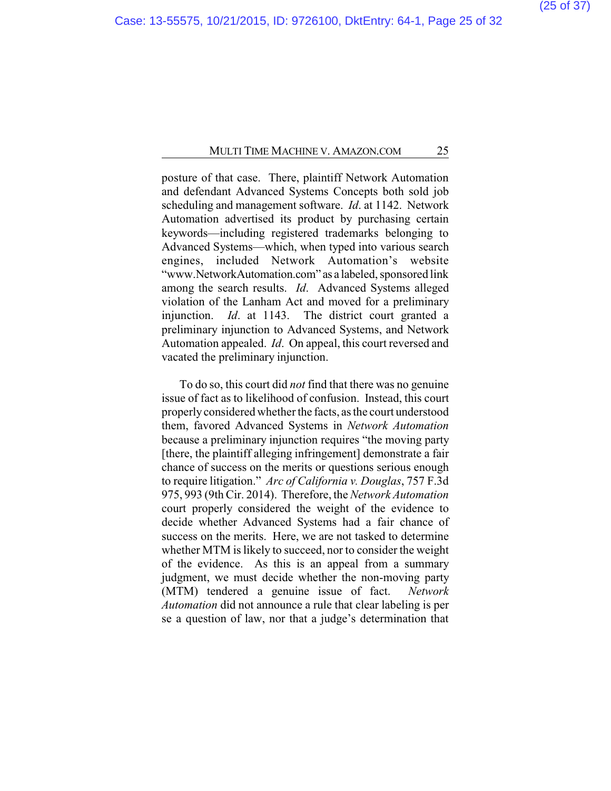posture of that case. There, plaintiff Network Automation and defendant Advanced Systems Concepts both sold job scheduling and management software. *Id*. at 1142. Network Automation advertised its product by purchasing certain keywords—including registered trademarks belonging to Advanced Systems—which, when typed into various search engines, included Network Automation's website "www.NetworkAutomation.com" as a labeled, sponsored link among the search results. *Id*. Advanced Systems alleged violation of the Lanham Act and moved for a preliminary injunction. *Id*. at 1143. The district court granted a preliminary injunction to Advanced Systems, and Network Automation appealed. *Id*. On appeal, this court reversed and vacated the preliminary injunction.

To do so, this court did *not* find that there was no genuine issue of fact as to likelihood of confusion. Instead, this court properlyconsidered whether the facts, as the court understood them, favored Advanced Systems in *Network Automation* because a preliminary injunction requires "the moving party [there, the plaintiff alleging infringement] demonstrate a fair chance of success on the merits or questions serious enough to require litigation." *Arc of California v. Douglas*, 757 F.3d 975, 993 (9th Cir. 2014). Therefore, the *Network Automation* court properly considered the weight of the evidence to decide whether Advanced Systems had a fair chance of success on the merits. Here, we are not tasked to determine whether MTM is likely to succeed, nor to consider the weight of the evidence. As this is an appeal from a summary judgment, we must decide whether the non-moving party (MTM) tendered a genuine issue of fact. *Network Automation* did not announce a rule that clear labeling is per se a question of law, nor that a judge's determination that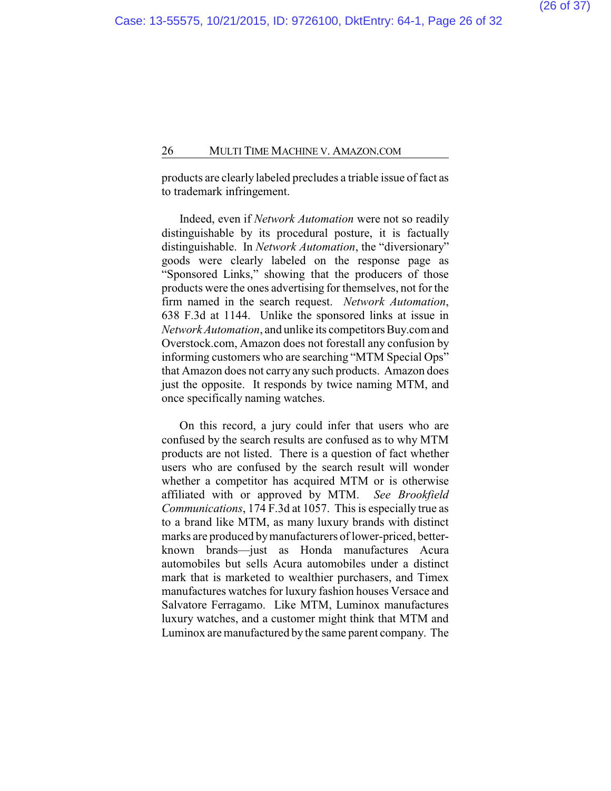products are clearly labeled precludes a triable issue of fact as to trademark infringement.

Indeed, even if *Network Automation* were not so readily distinguishable by its procedural posture, it is factually distinguishable. In *Network Automation*, the "diversionary" goods were clearly labeled on the response page as "Sponsored Links," showing that the producers of those products were the ones advertising for themselves, not for the firm named in the search request. *Network Automation*, 638 F.3d at 1144. Unlike the sponsored links at issue in *Network Automation*, and unlike its competitors Buy.com and Overstock.com, Amazon does not forestall any confusion by informing customers who are searching "MTM Special Ops" that Amazon does not carry any such products. Amazon does just the opposite. It responds by twice naming MTM, and once specifically naming watches.

On this record, a jury could infer that users who are confused by the search results are confused as to why MTM products are not listed. There is a question of fact whether users who are confused by the search result will wonder whether a competitor has acquired MTM or is otherwise affiliated with or approved by MTM. *See Brookfield Communications*, 174 F.3d at 1057. This is especially true as to a brand like MTM, as many luxury brands with distinct marks are produced bymanufacturers of lower-priced, betterknown brands—just as Honda manufactures Acura automobiles but sells Acura automobiles under a distinct mark that is marketed to wealthier purchasers, and Timex manufactures watches for luxury fashion houses Versace and Salvatore Ferragamo. Like MTM, Luminox manufactures luxury watches, and a customer might think that MTM and Luminox are manufactured by the same parent company. The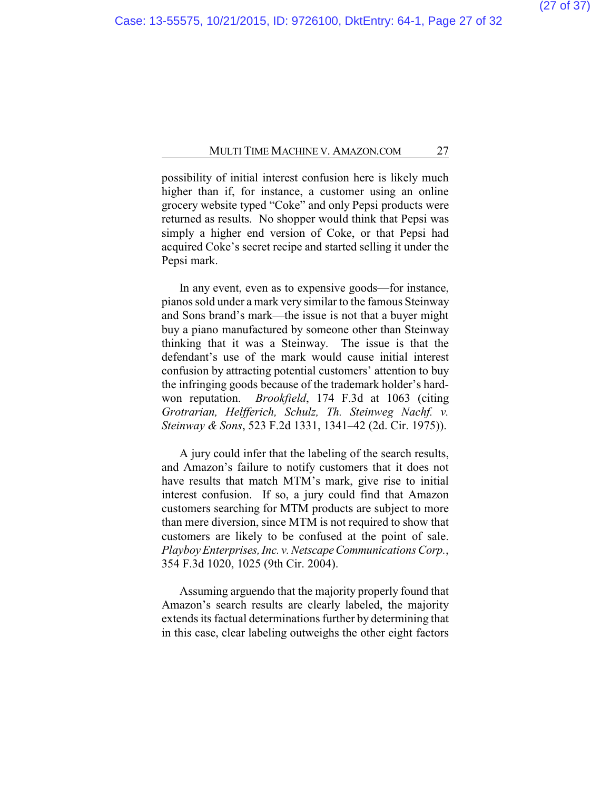possibility of initial interest confusion here is likely much higher than if, for instance, a customer using an online grocery website typed "Coke" and only Pepsi products were returned as results. No shopper would think that Pepsi was simply a higher end version of Coke, or that Pepsi had acquired Coke's secret recipe and started selling it under the Pepsi mark.

In any event, even as to expensive goods—for instance, pianos sold under a mark very similar to the famous Steinway and Sons brand's mark—the issue is not that a buyer might buy a piano manufactured by someone other than Steinway thinking that it was a Steinway. The issue is that the defendant's use of the mark would cause initial interest confusion by attracting potential customers' attention to buy the infringing goods because of the trademark holder's hardwon reputation. *Brookfield*, 174 F.3d at 1063 (citing *Grotrarian, Helfferich, Schulz, Th. Steinweg Nachf. v. Steinway & Sons*, 523 F.2d 1331, 1341–42 (2d. Cir. 1975)).

A jury could infer that the labeling of the search results, and Amazon's failure to notify customers that it does not have results that match MTM's mark, give rise to initial interest confusion. If so, a jury could find that Amazon customers searching for MTM products are subject to more than mere diversion, since MTM is not required to show that customers are likely to be confused at the point of sale. *Playboy Enterprises,Inc. v.NetscapeCommunications Corp.*, 354 F.3d 1020, 1025 (9th Cir. 2004).

Assuming arguendo that the majority properly found that Amazon's search results are clearly labeled, the majority extends its factual determinations further by determining that in this case, clear labeling outweighs the other eight factors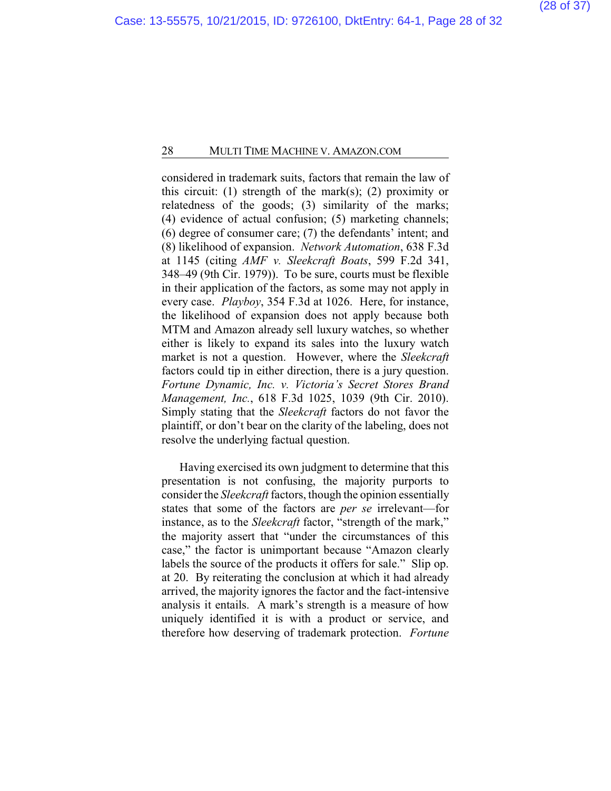considered in trademark suits, factors that remain the law of this circuit: (1) strength of the mark(s); (2) proximity or relatedness of the goods; (3) similarity of the marks; (4) evidence of actual confusion; (5) marketing channels; (6) degree of consumer care; (7) the defendants' intent; and (8) likelihood of expansion. *Network Automation*, 638 F.3d at 1145 (citing *AMF v. Sleekcraft Boats*, 599 F.2d 341, 348–49 (9th Cir. 1979)). To be sure, courts must be flexible in their application of the factors, as some may not apply in every case. *Playboy*, 354 F.3d at 1026. Here, for instance, the likelihood of expansion does not apply because both MTM and Amazon already sell luxury watches, so whether either is likely to expand its sales into the luxury watch market is not a question. However, where the *Sleekcraft* factors could tip in either direction, there is a jury question. *Fortune Dynamic, Inc. v. Victoria's Secret Stores Brand Management, Inc.*, 618 F.3d 1025, 1039 (9th Cir. 2010). Simply stating that the *Sleekcraft* factors do not favor the plaintiff, or don't bear on the clarity of the labeling, does not resolve the underlying factual question.

Having exercised its own judgment to determine that this presentation is not confusing, the majority purports to consider the *Sleekcraft* factors, though the opinion essentially states that some of the factors are *per se* irrelevant—for instance, as to the *Sleekcraft* factor, "strength of the mark," the majority assert that "under the circumstances of this case," the factor is unimportant because "Amazon clearly labels the source of the products it offers for sale." Slip op. at 20. By reiterating the conclusion at which it had already arrived, the majority ignores the factor and the fact-intensive analysis it entails. A mark's strength is a measure of how uniquely identified it is with a product or service, and therefore how deserving of trademark protection. *Fortune*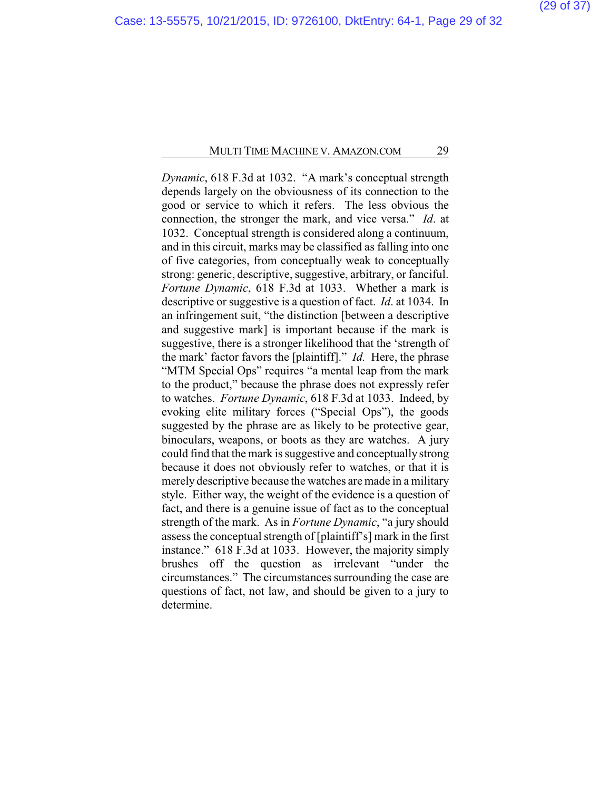*Dynamic*, 618 F.3d at 1032. "A mark's conceptual strength depends largely on the obviousness of its connection to the good or service to which it refers. The less obvious the connection, the stronger the mark, and vice versa." *Id*. at 1032. Conceptual strength is considered along a continuum, and in this circuit, marks may be classified as falling into one of five categories, from conceptually weak to conceptually strong: generic, descriptive, suggestive, arbitrary, or fanciful. *Fortune Dynamic*, 618 F.3d at 1033. Whether a mark is descriptive or suggestive is a question of fact. *Id*. at 1034. In an infringement suit, "the distinction [between a descriptive and suggestive mark] is important because if the mark is suggestive, there is a stronger likelihood that the 'strength of the mark' factor favors the [plaintiff]." *Id.* Here, the phrase "MTM Special Ops" requires "a mental leap from the mark to the product," because the phrase does not expressly refer to watches. *Fortune Dynamic*, 618 F.3d at 1033. Indeed, by evoking elite military forces ("Special Ops"), the goods suggested by the phrase are as likely to be protective gear, binoculars, weapons, or boots as they are watches. A jury could find that the mark is suggestive and conceptually strong because it does not obviously refer to watches, or that it is merely descriptive because the watches are made in a military style. Either way, the weight of the evidence is a question of fact, and there is a genuine issue of fact as to the conceptual strength of the mark. As in *Fortune Dynamic*, "a jury should assess the conceptual strength of [plaintiff's] mark in the first instance." 618 F.3d at 1033. However, the majority simply brushes off the question as irrelevant "under the circumstances." The circumstances surrounding the case are questions of fact, not law, and should be given to a jury to determine.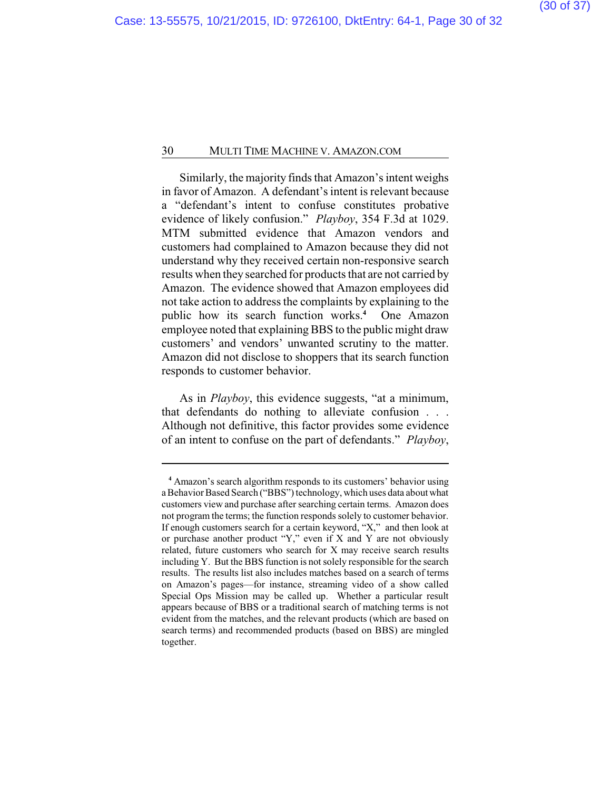Similarly, the majority finds that Amazon's intent weighs in favor of Amazon. A defendant's intent is relevant because a "defendant's intent to confuse constitutes probative evidence of likely confusion." *Playboy*, 354 F.3d at 1029. MTM submitted evidence that Amazon vendors and customers had complained to Amazon because they did not understand why they received certain non-responsive search results when they searched for products that are not carried by Amazon. The evidence showed that Amazon employees did not take action to address the complaints by explaining to the public how its search function works.**<sup>4</sup>** One Amazon employee noted that explaining BBS to the public might draw customers' and vendors' unwanted scrutiny to the matter. Amazon did not disclose to shoppers that its search function responds to customer behavior.

As in *Playboy*, this evidence suggests, "at a minimum, that defendants do nothing to alleviate confusion . . . Although not definitive, this factor provides some evidence of an intent to confuse on the part of defendants." *Playboy*,

**<sup>4</sup>** Amazon's search algorithm responds to its customers' behavior using a Behavior Based Search ("BBS") technology, which uses data aboutwhat customers view and purchase after searching certain terms. Amazon does not program the terms; the function responds solely to customer behavior. If enough customers search for a certain keyword, "X," and then look at or purchase another product "Y," even if X and Y are not obviously related, future customers who search for X may receive search results including Y. But the BBS function is not solely responsible for the search results. The results list also includes matches based on a search of terms on Amazon's pages—for instance, streaming video of a show called Special Ops Mission may be called up. Whether a particular result appears because of BBS or a traditional search of matching terms is not evident from the matches, and the relevant products (which are based on search terms) and recommended products (based on BBS) are mingled together.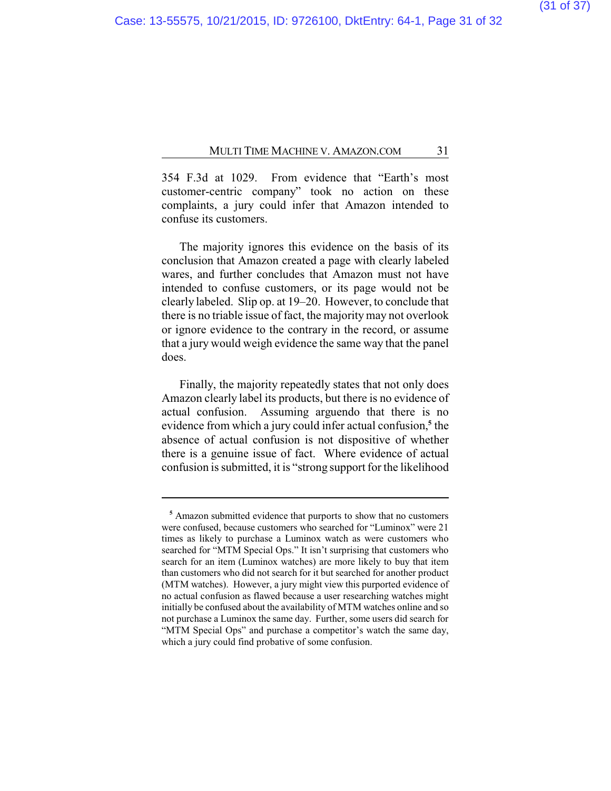354 F.3d at 1029. From evidence that "Earth's most customer-centric company" took no action on these complaints, a jury could infer that Amazon intended to confuse its customers.

The majority ignores this evidence on the basis of its conclusion that Amazon created a page with clearly labeled wares, and further concludes that Amazon must not have intended to confuse customers, or its page would not be clearly labeled. Slip op. at 19–20. However, to conclude that there is no triable issue of fact, the majority may not overlook or ignore evidence to the contrary in the record, or assume that a jury would weigh evidence the same way that the panel does.

Finally, the majority repeatedly states that not only does Amazon clearly label its products, but there is no evidence of actual confusion. Assuming arguendo that there is no evidence from which a jury could infer actual confusion,**<sup>5</sup>** the absence of actual confusion is not dispositive of whether there is a genuine issue of fact. Where evidence of actual confusion is submitted, it is "strong support for the likelihood

**<sup>5</sup>** Amazon submitted evidence that purports to show that no customers were confused, because customers who searched for "Luminox" were 21 times as likely to purchase a Luminox watch as were customers who searched for "MTM Special Ops." It isn't surprising that customers who search for an item (Luminox watches) are more likely to buy that item than customers who did not search for it but searched for another product (MTM watches). However, a jury might view this purported evidence of no actual confusion as flawed because a user researching watches might initially be confused about the availability of MTM watches online and so not purchase a Luminox the same day. Further, some users did search for "MTM Special Ops" and purchase a competitor's watch the same day, which a jury could find probative of some confusion.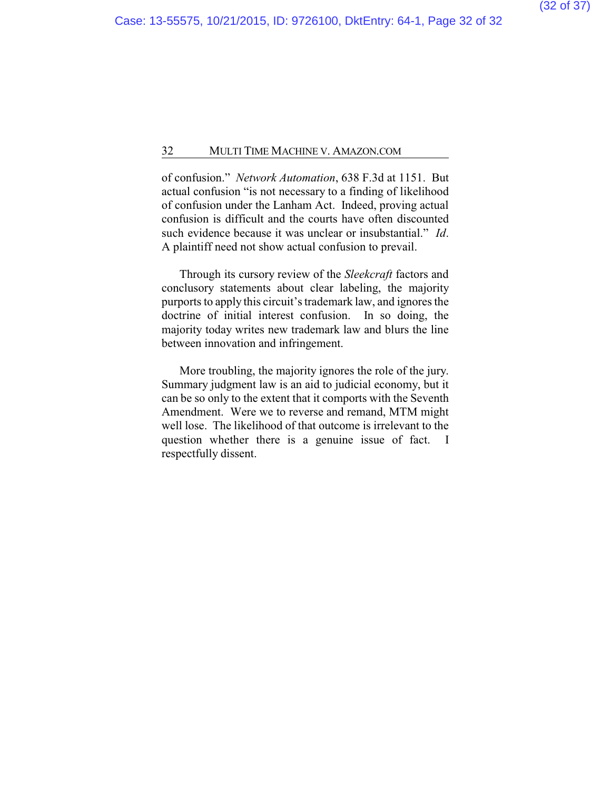of confusion." *Network Automation*, 638 F.3d at 1151. But actual confusion "is not necessary to a finding of likelihood of confusion under the Lanham Act. Indeed, proving actual confusion is difficult and the courts have often discounted such evidence because it was unclear or insubstantial." *Id*. A plaintiff need not show actual confusion to prevail.

Through its cursory review of the *Sleekcraft* factors and conclusory statements about clear labeling, the majority purports to apply this circuit's trademark law, and ignores the doctrine of initial interest confusion. In so doing, the majority today writes new trademark law and blurs the line between innovation and infringement.

More troubling, the majority ignores the role of the jury. Summary judgment law is an aid to judicial economy, but it can be so only to the extent that it comports with the Seventh Amendment. Were we to reverse and remand, MTM might well lose. The likelihood of that outcome is irrelevant to the question whether there is a genuine issue of fact. I respectfully dissent.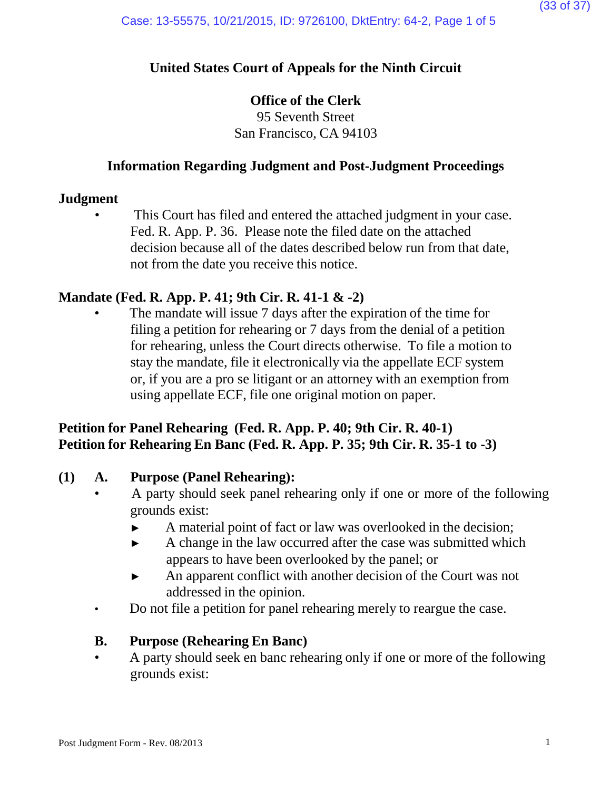# **United States Court of Appeals for the Ninth Circuit**

## **Office of the Clerk**

95 Seventh Street San Francisco, CA 94103

## **Information Regarding Judgment and Post-Judgment Proceedings**

## **Judgment**

This Court has filed and entered the attached judgment in your case. Fed. R. App. P. 36. Please note the filed date on the attached decision because all of the dates described below run from that date, not from the date you receive this notice.

## **Mandate (Fed. R. App. P. 41; 9th Cir. R. 41-1 & -2)**

The mandate will issue 7 days after the expiration of the time for filing a petition for rehearing or 7 days from the denial of a petition for rehearing, unless the Court directs otherwise. To file a motion to stay the mandate, file it electronically via the appellate ECF system or, if you are a pro se litigant or an attorney with an exemption from using appellate ECF, file one original motion on paper.

# **Petition for Panel Rehearing (Fed. R. App. P. 40; 9th Cir. R. 40-1) Petition for Rehearing En Banc (Fed. R. App. P. 35; 9th Cir. R. 35-1 to -3)**

## **(1) A. Purpose (Panel Rehearing):**

- A party should seek panel rehearing only if one or more of the following grounds exist:
	- A material point of fact or law was overlooked in the decision;
	- ► A change in the law occurred after the case was submitted which appears to have been overlooked by the panel; or
	- ► An apparent conflict with another decision of the Court was not addressed in the opinion.
- Do not file a petition for panel rehearing merely to reargue the case.

# **B. Purpose (Rehearing En Banc)**

• A party should seek en banc rehearing only if one or more of the following grounds exist: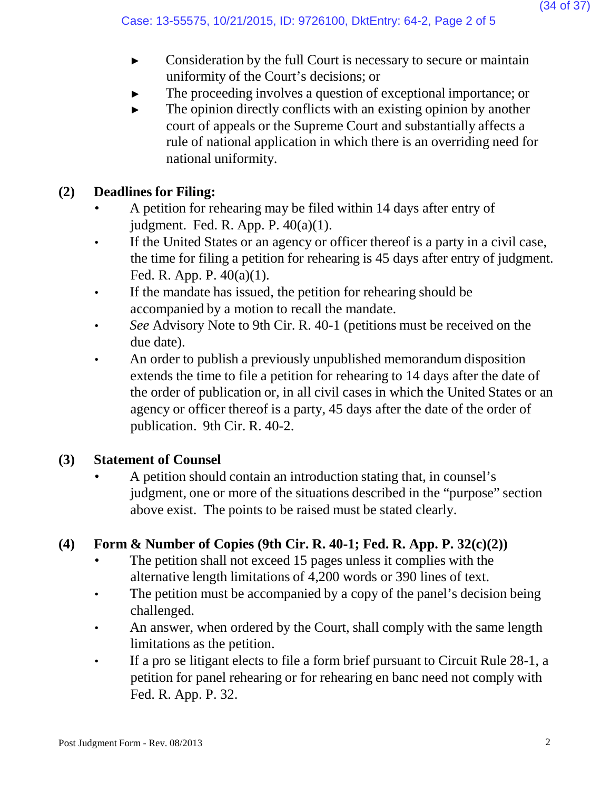- ► Consideration by the full Court is necessary to secure or maintain uniformity of the Court's decisions; or
- The proceeding involves a question of exceptional importance; or
- $\blacktriangleright$  The opinion directly conflicts with an existing opinion by another court of appeals or the Supreme Court and substantially affects a rule of national application in which there is an overriding need for national uniformity.

# **(2) Deadlines for Filing:**

- A petition for rehearing may be filed within 14 days after entry of judgment. Fed. R. App. P.  $40(a)(1)$ .
- If the United States or an agency or officer thereof is a party in a civil case, the time for filing a petition for rehearing is 45 days after entry of judgment. Fed. R. App. P. 40(a)(1).
- If the mandate has issued, the petition for rehearing should be accompanied by a motion to recall the mandate.
- *See* Advisory Note to 9th Cir. R. 40-1 (petitions must be received on the due date).
- An order to publish a previously unpublished memorandum disposition extends the time to file a petition for rehearing to 14 days after the date of the order of publication or, in all civil cases in which the United States or an agency or officer thereof is a party, 45 days after the date of the order of publication. 9th Cir. R. 40-2.

# **(3) Statement of Counsel**

• A petition should contain an introduction stating that, in counsel's judgment, one or more of the situations described in the "purpose" section above exist. The points to be raised must be stated clearly.

# **(4) Form & Number of Copies (9th Cir. R. 40-1; Fed. R. App. P. 32(c)(2))**

- The petition shall not exceed 15 pages unless it complies with the alternative length limitations of 4,200 words or 390 lines of text.
- The petition must be accompanied by a copy of the panel's decision being challenged.
- An answer, when ordered by the Court, shall comply with the same length limitations as the petition.
- If a pro se litigant elects to file a form brief pursuant to Circuit Rule 28-1, a petition for panel rehearing or for rehearing en banc need not comply with Fed. R. App. P. 32.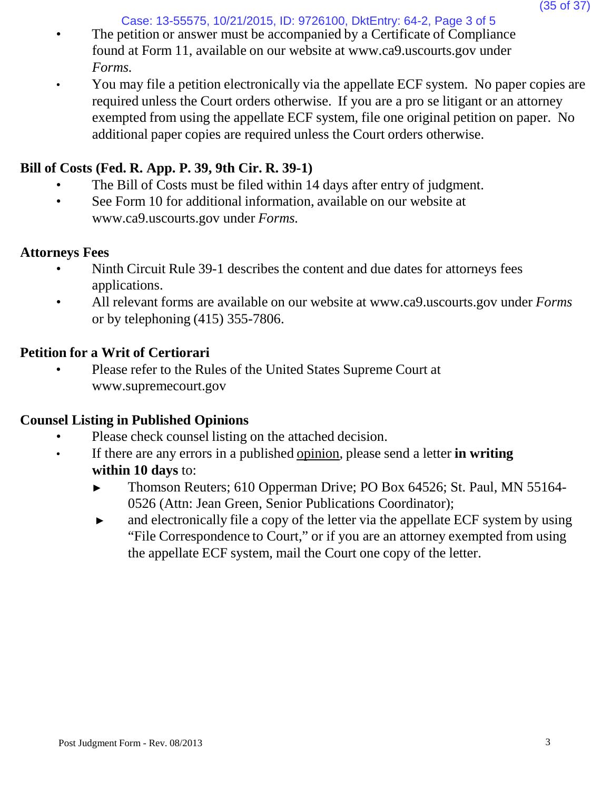Case: 13-55575, 10/21/2015, ID: 9726100, DktEntry: 64-2, Page 3 of 5

- The petition or answer must be accompanied by a Certificate of Compliance found at Form 11, available on our website at [www.ca9.uscourts.gov u](http://www.ca9.uscourts.gov/)nder *Forms.*
- You may file a petition electronically via the appellate ECF system. No paper copies are required unless the Court orders otherwise. If you are a pro se litigant or an attorney exempted from using the appellate ECF system, file one original petition on paper. No additional paper copies are required unless the Court orders otherwise.

# **Bill of Costs (Fed. R. App. P. 39, 9th Cir. R. 39-1)**

- The Bill of Costs must be filed within 14 days after entry of judgment.
- See Form 10 for additional information, available on our website at [www.ca9.uscourts.gov u](http://www.ca9.uscourts.gov/)nder *Forms.*

# **Attorneys Fees**

- Ninth Circuit Rule 39-1 describes the content and due dates for attorneys fees applications.
- All relevant forms are available on our website at [www.ca9.uscourts.gov u](http://www.ca9.uscourts.gov/)nder *Forms*  or by telephoning (415) 355-7806.

# **Petition for a Writ of Certiorari**

• Please refer to the Rules of the United States Supreme Court a[t](http://www.supremecourt.gov/) [www.supremecourt.gov](http://www.supremecourt.gov/)

# **Counsel Listing in Published Opinions**

- Please check counsel listing on the attached decision.
- If there are any errors in a published opinion, please send a letter **in writing within 10 days** to:
	- ► Thomson Reuters; 610 Opperman Drive; PO Box 64526; St. Paul, MN 55164- 0526 (Attn: Jean Green, Senior Publications Coordinator);
	- ► and electronically file a copy of the letter via the appellate ECF system by using "File Correspondence to Court," or if you are an attorney exempted from using the appellate ECF system, mail the Court one copy of the letter.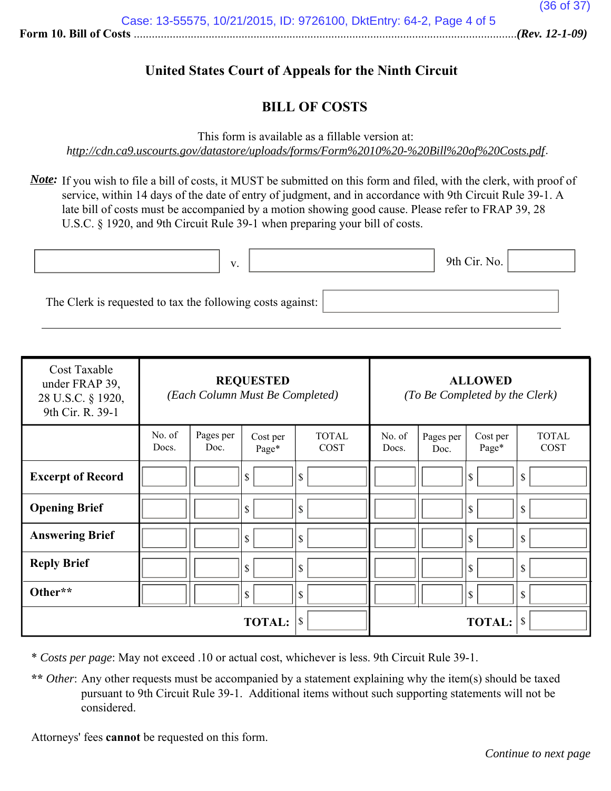## **United States Court of Appeals for the Ninth Circuit**

## **BILL OF COSTS**

This form is available as a fillable version at:

*http://cdn.ca9.uscourts.gov/datastore/uploads/forms/Form%2010%20-%20Bill%20of%20Costs.pdf*.

*Note:* If you wish to file a bill of costs, it MUST be submitted on this form and filed, with the clerk, with proof of service, within 14 days of the date of entry of judgment, and in accordance with 9th Circuit Rule 39-1. A late bill of costs must be accompanied by a motion showing good cause. Please refer to FRAP 39, 28 U.S.C. § 1920, and 9th Circuit Rule 39-1 when preparing your bill of costs.

|                                                            | $\mathbf{V}$ | 9th Cir. No. |
|------------------------------------------------------------|--------------|--------------|
| The Clerk is requested to tax the following costs against: |              |              |

| Cost Taxable<br>under FRAP 39,<br>28 U.S.C. § 1920,<br>9th Cir. R. 39-1 | <b>REQUESTED</b><br>(Each Column Must Be Completed) |                   |                    |                      | <b>ALLOWED</b><br>(To Be Completed by the Clerk) |                   |                   |                      |
|-------------------------------------------------------------------------|-----------------------------------------------------|-------------------|--------------------|----------------------|--------------------------------------------------|-------------------|-------------------|----------------------|
|                                                                         | No. of<br>Docs.                                     | Pages per<br>Doc. | Cost per<br>Page*  | <b>TOTAL</b><br>COST | No. of<br>Docs.                                  | Pages per<br>Doc. | Cost per<br>Page* | <b>TOTAL</b><br>COST |
| <b>Excerpt of Record</b>                                                |                                                     |                   | $\mathcal{S}$      | \$                   |                                                  |                   | \$                | \$                   |
| <b>Opening Brief</b>                                                    |                                                     |                   | $\mathcal{S}$      | \$                   |                                                  |                   | \$                | \$                   |
| <b>Answering Brief</b>                                                  |                                                     |                   | $\mathcal{S}$      | $\mathsf{\$}$        |                                                  |                   | $\mathbb{S}$      | \$                   |
| <b>Reply Brief</b>                                                      |                                                     |                   | $\mathbf{\hat{S}}$ | \$                   |                                                  |                   | $\mathbb{S}$      | \$                   |
| Other**                                                                 |                                                     |                   | \$                 | \$                   |                                                  |                   | \$                | \$                   |
|                                                                         |                                                     |                   | <b>TOTAL:</b>      | \$                   |                                                  |                   | <b>TOTAL:</b>     | \$                   |

\* *Costs per page*: May not exceed .10 or actual cost, whichever is less. 9th Circuit Rule 39-1.

\*\* Other: Any other requests must be accompanied by a statement explaining why the item(s) should be taxed pursuant to 9th Circuit Rule 39-1. Additional items without such supporting statements will not be considered.

Attorneys' fees **cannot** be requested on this form.